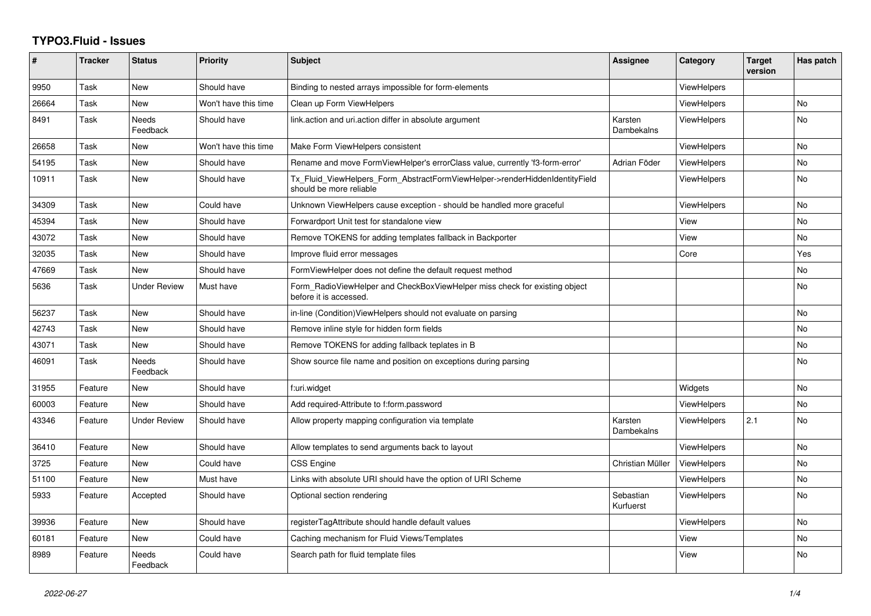## **TYPO3.Fluid - Issues**

| #     | <b>Tracker</b> | <b>Status</b>            | <b>Priority</b>      | <b>Subject</b>                                                                                         | Assignee               | Category           | <b>Target</b><br>version | Has patch |
|-------|----------------|--------------------------|----------------------|--------------------------------------------------------------------------------------------------------|------------------------|--------------------|--------------------------|-----------|
| 9950  | Task           | <b>New</b>               | Should have          | Binding to nested arrays impossible for form-elements                                                  |                        | <b>ViewHelpers</b> |                          |           |
| 26664 | Task           | New                      | Won't have this time | Clean up Form ViewHelpers                                                                              |                        | ViewHelpers        |                          | No        |
| 8491  | Task           | <b>Needs</b><br>Feedback | Should have          | link.action and uri.action differ in absolute argument                                                 | Karsten<br>Dambekalns  | <b>ViewHelpers</b> |                          | <b>No</b> |
| 26658 | Task           | New                      | Won't have this time | Make Form ViewHelpers consistent                                                                       |                        | ViewHelpers        |                          | <b>No</b> |
| 54195 | Task           | New                      | Should have          | Rename and move FormViewHelper's errorClass value, currently 'f3-form-error'                           | Adrian Föder           | <b>ViewHelpers</b> |                          | No        |
| 10911 | Task           | <b>New</b>               | Should have          | Tx_Fluid_ViewHelpers_Form_AbstractFormViewHelper->renderHiddenIdentityField<br>should be more reliable |                        | <b>ViewHelpers</b> |                          | <b>No</b> |
| 34309 | Task           | <b>New</b>               | Could have           | Unknown ViewHelpers cause exception - should be handled more graceful                                  |                        | <b>ViewHelpers</b> |                          | <b>No</b> |
| 45394 | Task           | New                      | Should have          | Forwardport Unit test for standalone view                                                              |                        | View               |                          | <b>No</b> |
| 43072 | Task           | New                      | Should have          | Remove TOKENS for adding templates fallback in Backporter                                              |                        | View               |                          | No        |
| 32035 | Task           | New                      | Should have          | Improve fluid error messages                                                                           |                        | Core               |                          | Yes       |
| 47669 | Task           | <b>New</b>               | Should have          | FormViewHelper does not define the default request method                                              |                        |                    |                          | <b>No</b> |
| 5636  | Task           | <b>Under Review</b>      | Must have            | Form_RadioViewHelper and CheckBoxViewHelper miss check for existing object<br>before it is accessed.   |                        |                    |                          | <b>No</b> |
| 56237 | Task           | <b>New</b>               | Should have          | in-line (Condition) View Helpers should not evaluate on parsing                                        |                        |                    |                          | <b>No</b> |
| 42743 | Task           | <b>New</b>               | Should have          | Remove inline style for hidden form fields                                                             |                        |                    |                          | <b>No</b> |
| 43071 | Task           | New                      | Should have          | Remove TOKENS for adding fallback teplates in B                                                        |                        |                    |                          | No        |
| 46091 | Task           | Needs<br>Feedback        | Should have          | Show source file name and position on exceptions during parsing                                        |                        |                    |                          | <b>No</b> |
| 31955 | Feature        | New                      | Should have          | f:uri.widget                                                                                           |                        | Widgets            |                          | No        |
| 60003 | Feature        | <b>New</b>               | Should have          | Add required-Attribute to f:form.password                                                              |                        | <b>ViewHelpers</b> |                          | No        |
| 43346 | Feature        | <b>Under Review</b>      | Should have          | Allow property mapping configuration via template                                                      | Karsten<br>Dambekalns  | <b>ViewHelpers</b> | 2.1                      | <b>No</b> |
| 36410 | Feature        | <b>New</b>               | Should have          | Allow templates to send arguments back to layout                                                       |                        | <b>ViewHelpers</b> |                          | <b>No</b> |
| 3725  | Feature        | New                      | Could have           | CSS Engine                                                                                             | Christian Müller       | ViewHelpers        |                          | <b>No</b> |
| 51100 | Feature        | <b>New</b>               | Must have            | Links with absolute URI should have the option of URI Scheme                                           |                        | <b>ViewHelpers</b> |                          | No        |
| 5933  | Feature        | Accepted                 | Should have          | Optional section rendering                                                                             | Sebastian<br>Kurfuerst | ViewHelpers        |                          | No        |
| 39936 | Feature        | <b>New</b>               | Should have          | registerTagAttribute should handle default values                                                      |                        | <b>ViewHelpers</b> |                          | <b>No</b> |
| 60181 | Feature        | New                      | Could have           | Caching mechanism for Fluid Views/Templates                                                            |                        | View               |                          | <b>No</b> |
| 8989  | Feature        | Needs<br>Feedback        | Could have           | Search path for fluid template files                                                                   |                        | View               |                          | <b>No</b> |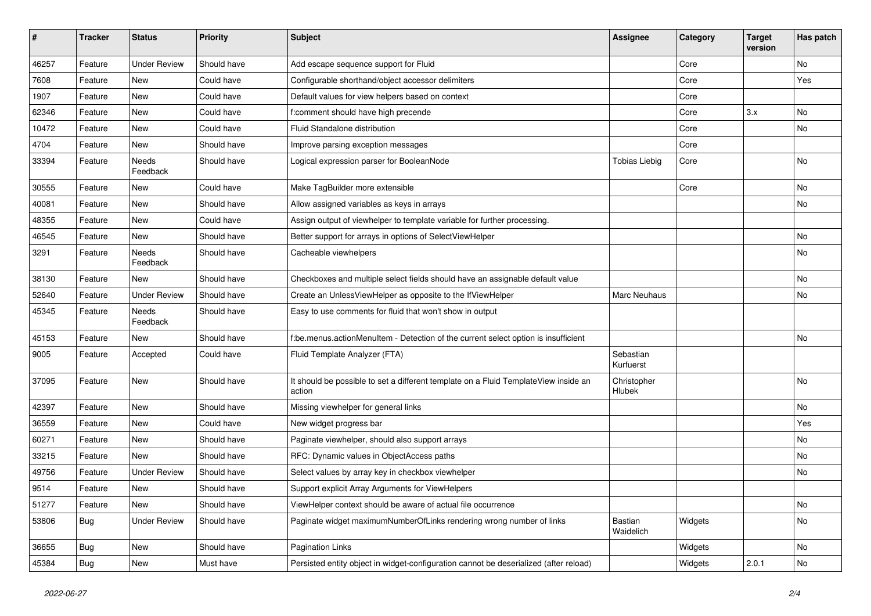| $\sharp$ | <b>Tracker</b> | <b>Status</b>       | <b>Priority</b> | <b>Subject</b>                                                                                | <b>Assignee</b>        | Category | <b>Target</b><br>version | Has patch |
|----------|----------------|---------------------|-----------------|-----------------------------------------------------------------------------------------------|------------------------|----------|--------------------------|-----------|
| 46257    | Feature        | <b>Under Review</b> | Should have     | Add escape sequence support for Fluid                                                         |                        | Core     |                          | <b>No</b> |
| 7608     | Feature        | New                 | Could have      | Configurable shorthand/object accessor delimiters                                             |                        | Core     |                          | Yes       |
| 1907     | Feature        | <b>New</b>          | Could have      | Default values for view helpers based on context                                              |                        | Core     |                          |           |
| 62346    | Feature        | New                 | Could have      | f:comment should have high precende                                                           |                        | Core     | 3.x                      | No        |
| 10472    | Feature        | New                 | Could have      | <b>Fluid Standalone distribution</b>                                                          |                        | Core     |                          | No        |
| 4704     | Feature        | New                 | Should have     | Improve parsing exception messages                                                            |                        | Core     |                          |           |
| 33394    | Feature        | Needs<br>Feedback   | Should have     | Logical expression parser for BooleanNode                                                     | <b>Tobias Liebig</b>   | Core     |                          | No        |
| 30555    | Feature        | New                 | Could have      | Make TagBuilder more extensible                                                               |                        | Core     |                          | No        |
| 40081    | Feature        | New                 | Should have     | Allow assigned variables as keys in arrays                                                    |                        |          |                          | No        |
| 48355    | Feature        | New                 | Could have      | Assign output of viewhelper to template variable for further processing.                      |                        |          |                          |           |
| 46545    | Feature        | New                 | Should have     | Better support for arrays in options of SelectViewHelper                                      |                        |          |                          | No        |
| 3291     | Feature        | Needs<br>Feedback   | Should have     | Cacheable viewhelpers                                                                         |                        |          |                          | No        |
| 38130    | Feature        | <b>New</b>          | Should have     | Checkboxes and multiple select fields should have an assignable default value                 |                        |          |                          | No        |
| 52640    | Feature        | <b>Under Review</b> | Should have     | Create an UnlessViewHelper as opposite to the IfViewHelper                                    | Marc Neuhaus           |          |                          | No        |
| 45345    | Feature        | Needs<br>Feedback   | Should have     | Easy to use comments for fluid that won't show in output                                      |                        |          |                          |           |
| 45153    | Feature        | New                 | Should have     | f:be.menus.actionMenuItem - Detection of the current select option is insufficient            |                        |          |                          | No        |
| 9005     | Feature        | Accepted            | Could have      | Fluid Template Analyzer (FTA)                                                                 | Sebastian<br>Kurfuerst |          |                          |           |
| 37095    | Feature        | New                 | Should have     | It should be possible to set a different template on a Fluid TemplateView inside an<br>action | Christopher<br>Hlubek  |          |                          | No        |
| 42397    | Feature        | New                 | Should have     | Missing viewhelper for general links                                                          |                        |          |                          | No        |
| 36559    | Feature        | New                 | Could have      | New widget progress bar                                                                       |                        |          |                          | Yes       |
| 60271    | Feature        | New                 | Should have     | Paginate viewhelper, should also support arrays                                               |                        |          |                          | No        |
| 33215    | Feature        | <b>New</b>          | Should have     | RFC: Dynamic values in ObjectAccess paths                                                     |                        |          |                          | No        |
| 49756    | Feature        | <b>Under Review</b> | Should have     | Select values by array key in checkbox viewhelper                                             |                        |          |                          | No        |
| 9514     | Feature        | New                 | Should have     | Support explicit Array Arguments for ViewHelpers                                              |                        |          |                          |           |
| 51277    | Feature        | New                 | Should have     | ViewHelper context should be aware of actual file occurrence                                  |                        |          |                          | No        |
| 53806    | <b>Bug</b>     | <b>Under Review</b> | Should have     | Paginate widget maximumNumberOfLinks rendering wrong number of links                          | Bastian<br>Waidelich   | Widgets  |                          | No        |
| 36655    | <b>Bug</b>     | New                 | Should have     | Pagination Links                                                                              |                        | Widgets  |                          | No        |
| 45384    | Bug            | New                 | Must have       | Persisted entity object in widget-configuration cannot be deserialized (after reload)         |                        | Widgets  | 2.0.1                    | No        |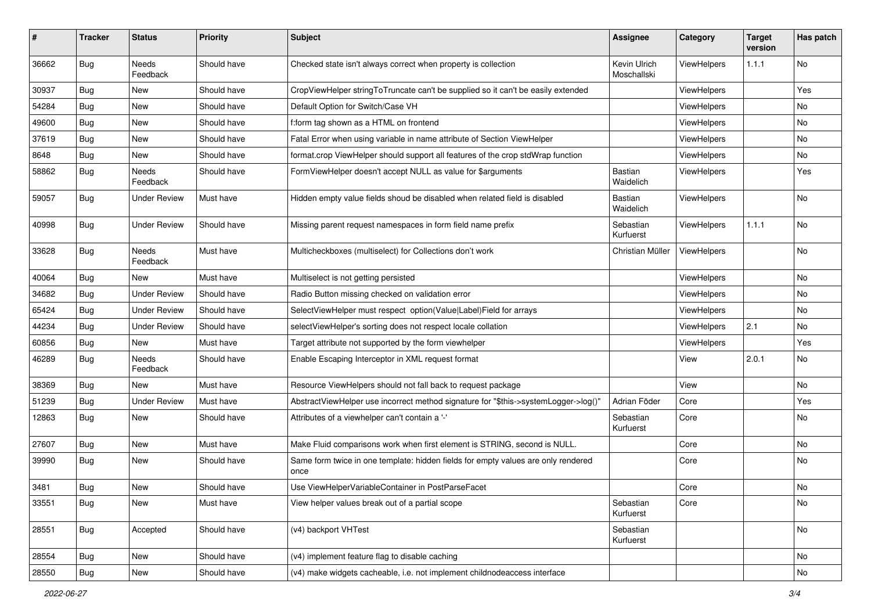| ∦     | <b>Tracker</b> | <b>Status</b>            | <b>Priority</b> | <b>Subject</b>                                                                            | <b>Assignee</b>             | Category           | <b>Target</b><br>version | Has patch |
|-------|----------------|--------------------------|-----------------|-------------------------------------------------------------------------------------------|-----------------------------|--------------------|--------------------------|-----------|
| 36662 | Bug            | <b>Needs</b><br>Feedback | Should have     | Checked state isn't always correct when property is collection                            | Kevin Ulrich<br>Moschallski | ViewHelpers        | 1.1.1                    | No        |
| 30937 | Bug            | New                      | Should have     | CropViewHelper stringToTruncate can't be supplied so it can't be easily extended          |                             | ViewHelpers        |                          | Yes       |
| 54284 | Bug            | New                      | Should have     | Default Option for Switch/Case VH                                                         |                             | ViewHelpers        |                          | <b>No</b> |
| 49600 | Bug            | New                      | Should have     | f:form tag shown as a HTML on frontend                                                    |                             | <b>ViewHelpers</b> |                          | No        |
| 37619 | Bug            | New                      | Should have     | Fatal Error when using variable in name attribute of Section ViewHelper                   |                             | ViewHelpers        |                          | <b>No</b> |
| 8648  | Bug            | New                      | Should have     | format.crop ViewHelper should support all features of the crop stdWrap function           |                             | ViewHelpers        |                          | No        |
| 58862 | Bug            | Needs<br>Feedback        | Should have     | FormViewHelper doesn't accept NULL as value for \$arguments                               | <b>Bastian</b><br>Waidelich | ViewHelpers        |                          | Yes       |
| 59057 | Bug            | Under Review             | Must have       | Hidden empty value fields shoud be disabled when related field is disabled                | Bastian<br>Waidelich        | ViewHelpers        |                          | No        |
| 40998 | Bug            | <b>Under Review</b>      | Should have     | Missing parent request namespaces in form field name prefix                               | Sebastian<br>Kurfuerst      | ViewHelpers        | 1.1.1                    | <b>No</b> |
| 33628 | Bug            | <b>Needs</b><br>Feedback | Must have       | Multicheckboxes (multiselect) for Collections don't work                                  | Christian Müller            | ViewHelpers        |                          | No        |
| 40064 | Bug            | New                      | Must have       | Multiselect is not getting persisted                                                      |                             | ViewHelpers        |                          | No        |
| 34682 | Bug            | <b>Under Review</b>      | Should have     | Radio Button missing checked on validation error                                          |                             | <b>ViewHelpers</b> |                          | No        |
| 65424 | Bug            | <b>Under Review</b>      | Should have     | SelectViewHelper must respect option(Value Label)Field for arrays                         |                             | ViewHelpers        |                          | No        |
| 44234 | Bug            | <b>Under Review</b>      | Should have     | selectViewHelper's sorting does not respect locale collation                              |                             | ViewHelpers        | 2.1                      | No        |
| 60856 | Bug            | New                      | Must have       | Target attribute not supported by the form viewhelper                                     |                             | ViewHelpers        |                          | Yes       |
| 46289 | Bug            | Needs<br>Feedback        | Should have     | Enable Escaping Interceptor in XML request format                                         |                             | View               | 2.0.1                    | No        |
| 38369 | Bug            | New                      | Must have       | Resource ViewHelpers should not fall back to request package                              |                             | View               |                          | No        |
| 51239 | Bug            | <b>Under Review</b>      | Must have       | AbstractViewHelper use incorrect method signature for "\$this->systemLogger->log()"       | Adrian Föder                | Core               |                          | Yes       |
| 12863 | Bug            | New                      | Should have     | Attributes of a viewhelper can't contain a '-'                                            | Sebastian<br>Kurfuerst      | Core               |                          | No        |
| 27607 | Bug            | New                      | Must have       | Make Fluid comparisons work when first element is STRING, second is NULL.                 |                             | Core               |                          | No        |
| 39990 | Bug            | New                      | Should have     | Same form twice in one template: hidden fields for empty values are only rendered<br>once |                             | Core               |                          | No        |
| 3481  | Bug            | New                      | Should have     | Use ViewHelperVariableContainer in PostParseFacet                                         |                             | Core               |                          | No        |
| 33551 | <b>Bug</b>     | New                      | Must have       | View helper values break out of a partial scope                                           | Sebastian<br>Kurfuerst      | Core               |                          | No        |
| 28551 | <b>Bug</b>     | Accepted                 | Should have     | (v4) backport VHTest                                                                      | Sebastian<br>Kurfuerst      |                    |                          | No        |
| 28554 | Bug            | New                      | Should have     | (v4) implement feature flag to disable caching                                            |                             |                    |                          | No        |
| 28550 | Bug            | New                      | Should have     | (v4) make widgets cacheable, i.e. not implement childnodeaccess interface                 |                             |                    |                          | No        |